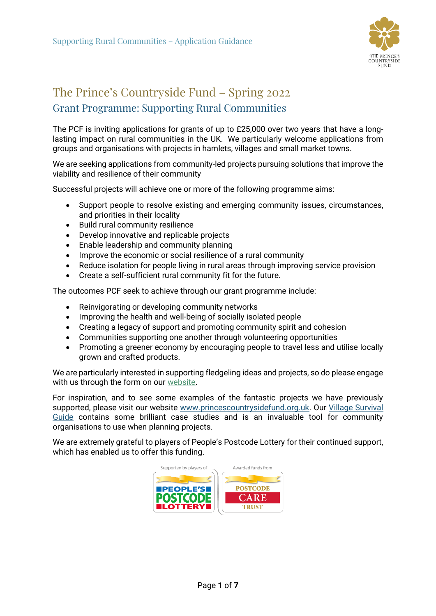

# The Prince's Countryside Fund – Spring 2022 Grant Programme: Supporting Rural Communities

The PCF is inviting applications for grants of up to £25,000 over two years that have a longlasting impact on rural communities in the UK. We particularly welcome applications from groups and organisations with projects in hamlets, villages and small market towns.

We are seeking applications from community-led projects pursuing solutions that improve the viability and resilience of their community

Successful projects will achieve one or more of the following programme aims:

- Support people to resolve existing and emerging community issues, circumstances, and priorities in their locality
- Build rural community resilience
- Develop innovative and replicable projects
- Enable leadership and community planning
- Improve the economic or social resilience of a rural community
- Reduce isolation for people living in rural areas through improving service provision
- Create a self-sufficient rural community fit for the future.

The outcomes PCF seek to achieve through our grant programme include:

- Reinvigorating or developing community networks
- Improving the health and well-being of socially isolated people
- Creating a legacy of support and promoting community spirit and cohesion
- Communities supporting one another through volunteering opportunities
- Promoting a greener economy by encouraging people to travel less and utilise locally grown and crafted products.

We are particularly interested in supporting fledgeling ideas and projects, so do please engage with us through the form on ou[r website.](https://www.princescountrysidefund.org.uk/how-we-help/rural-communities/supporting-rural-communities/)

For inspiration, and to see some examples of the fantastic projects we have previously supported, please visit our website [www.princescountrysidefund.org.uk.](http://www.princescountrysidefund.org.uk/) Our [Village Survival](https://www.princescountrysidefund.org.uk/research/village-survival-guide)  [Guide](https://www.princescountrysidefund.org.uk/research/village-survival-guide) contains some brilliant case studies and is an invaluable tool for community organisations to use when planning projects.

We are extremely grateful to players of People's Postcode Lottery for their continued support, which has enabled us to offer this funding.

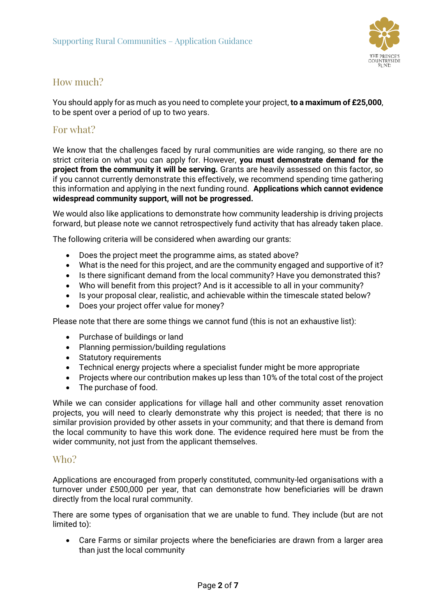

# How much?

You should apply for as much as you need to complete your project, **to a maximum of £25,000**, to be spent over a period of up to two years.

## For what?

We know that the challenges faced by rural communities are wide ranging, so there are no strict criteria on what you can apply for. However, **you must demonstrate demand for the project from the community it will be serving.** Grants are heavily assessed on this factor, so if you cannot currently demonstrate this effectively, we recommend spending time gathering this information and applying in the next funding round. **Applications which cannot evidence widespread community support, will not be progressed.**

We would also like applications to demonstrate how community leadership is driving projects forward, but please note we cannot retrospectively fund activity that has already taken place.

The following criteria will be considered when awarding our grants:

- Does the project meet the programme aims, as stated above?
- What is the need for this project, and are the community engaged and supportive of it?
- Is there significant demand from the local community? Have you demonstrated this?
- Who will benefit from this project? And is it accessible to all in your community?
- Is your proposal clear, realistic, and achievable within the timescale stated below?
- Does your project offer value for money?

Please note that there are some things we cannot fund (this is not an exhaustive list):

- Purchase of buildings or land
- Planning permission/building regulations
- Statutory requirements
- Technical energy projects where a specialist funder might be more appropriate
- Projects where our contribution makes up less than 10% of the total cost of the project
- The purchase of food.

While we can consider applications for village hall and other community asset renovation projects, you will need to clearly demonstrate why this project is needed; that there is no similar provision provided by other assets in your community; and that there is demand from the local community to have this work done. The evidence required here must be from the wider community, not just from the applicant themselves.

## Who?

Applications are encouraged from properly constituted, community-led organisations with a turnover under £500,000 per year, that can demonstrate how beneficiaries will be drawn directly from the local rural community.

There are some types of organisation that we are unable to fund. They include (but are not limited to):

• Care Farms or similar projects where the beneficiaries are drawn from a larger area than just the local community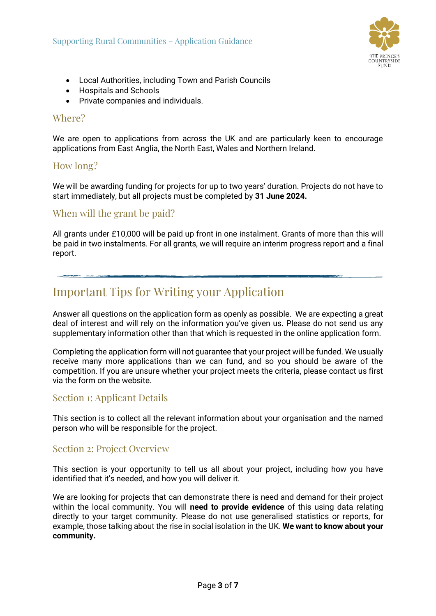

- Local Authorities, including Town and Parish Councils
- Hospitals and Schools
- Private companies and individuals.

## Where?

We are open to applications from across the UK and are particularly keen to encourage applications from East Anglia, the North East, Wales and Northern Ireland.

## How long?

We will be awarding funding for projects for up to two years' duration. Projects do not have to start immediately, but all projects must be completed by **31 June 2024.**

## When will the grant be paid?

All grants under £10,000 will be paid up front in one instalment. Grants of more than this will be paid in two instalments. For all grants, we will require an interim progress report and a final report.

# Important Tips for Writing your Application

Answer all questions on the application form as openly as possible. We are expecting a great deal of interest and will rely on the information you've given us. Please do not send us any supplementary information other than that which is requested in the online application form.

Completing the application form will not guarantee that your project will be funded. We usually receive many more applications than we can fund, and so you should be aware of the competition. If you are unsure whether your project meets the criteria, please contact us first via the form on the website.

## Section 1: Applicant Details

This section is to collect all the relevant information about your organisation and the named person who will be responsible for the project.

## Section 2: Project Overview

This section is your opportunity to tell us all about your project, including how you have identified that it's needed, and how you will deliver it.

We are looking for projects that can demonstrate there is need and demand for their project within the local community. You will **need to provide evidence** of this using data relating directly to your target community. Please do not use generalised statistics or reports, for example, those talking about the rise in social isolation in the UK. **We want to know about your community.**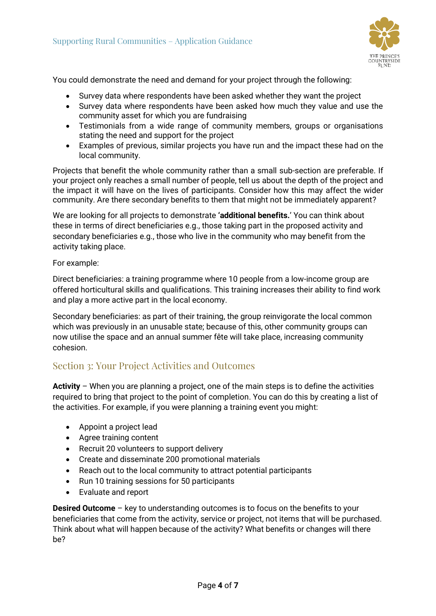

You could demonstrate the need and demand for your project through the following:

- Survey data where respondents have been asked whether they want the project
- Survey data where respondents have been asked how much they value and use the community asset for which you are fundraising
- Testimonials from a wide range of community members, groups or organisations stating the need and support for the project
- Examples of previous, similar projects you have run and the impact these had on the local community.

Projects that benefit the whole community rather than a small sub-section are preferable. If your project only reaches a small number of people, tell us about the depth of the project and the impact it will have on the lives of participants. Consider how this may affect the wider community. Are there secondary benefits to them that might not be immediately apparent?

We are looking for all projects to demonstrate **'additional benefits.**' You can think about these in terms of direct beneficiaries e.g., those taking part in the proposed activity and secondary beneficiaries e.g., those who live in the community who may benefit from the activity taking place.

For example:

Direct beneficiaries: a training programme where 10 people from a low-income group are offered horticultural skills and qualifications. This training increases their ability to find work and play a more active part in the local economy.

Secondary beneficiaries: as part of their training, the group reinvigorate the local common which was previously in an unusable state; because of this, other community groups can now utilise the space and an annual summer fête will take place, increasing community cohesion.

## Section 3: Your Project Activities and Outcomes

**Activity** – When you are planning a project, one of the main steps is to define the activities required to bring that project to the point of completion. You can do this by creating a list of the activities. For example, if you were planning a training event you might:

- Appoint a project lead
- Agree training content
- Recruit 20 volunteers to support delivery
- Create and disseminate 200 promotional materials
- Reach out to the local community to attract potential participants
- Run 10 training sessions for 50 participants
- Evaluate and report

**Desired Outcome** – key to understanding outcomes is to focus on the benefits to your beneficiaries that come from the activity, service or project, not items that will be purchased. Think about what will happen because of the activity? What benefits or changes will there be?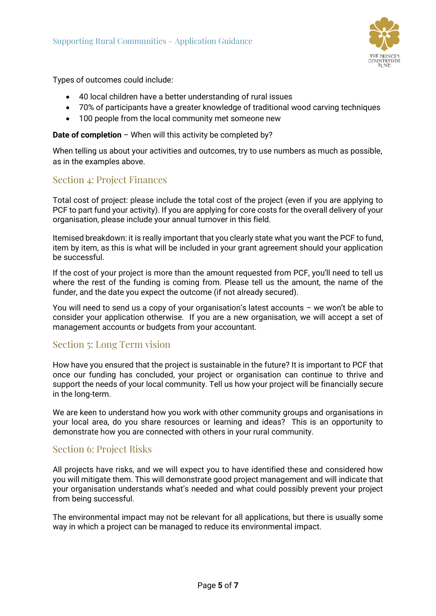

Types of outcomes could include:

- 40 local children have a better understanding of rural issues
- 70% of participants have a greater knowledge of traditional wood carving techniques
- 100 people from the local community met someone new

#### **Date of completion** – When will this activity be completed by?

When telling us about your activities and outcomes, try to use numbers as much as possible, as in the examples above.

## Section 4: Project Finances

Total cost of project: please include the total cost of the project (even if you are applying to PCF to part fund your activity). If you are applying for core costs for the overall delivery of your organisation, please include your annual turnover in this field.

Itemised breakdown: it is really important that you clearly state what you want the PCF to fund, item by item, as this is what will be included in your grant agreement should your application be successful.

If the cost of your project is more than the amount requested from PCF, you'll need to tell us where the rest of the funding is coming from. Please tell us the amount, the name of the funder, and the date you expect the outcome (if not already secured).

You will need to send us a copy of your organisation's latest accounts – we won't be able to consider your application otherwise. If you are a new organisation, we will accept a set of management accounts or budgets from your accountant.

## Section 5: Long Term vision

How have you ensured that the project is sustainable in the future? It is important to PCF that once our funding has concluded, your project or organisation can continue to thrive and support the needs of your local community. Tell us how your project will be financially secure in the long-term.

We are keen to understand how you work with other community groups and organisations in your local area, do you share resources or learning and ideas? This is an opportunity to demonstrate how you are connected with others in your rural community.

## Section 6: Project Risks

All projects have risks, and we will expect you to have identified these and considered how you will mitigate them. This will demonstrate good project management and will indicate that your organisation understands what's needed and what could possibly prevent your project from being successful.

The environmental impact may not be relevant for all applications, but there is usually some way in which a project can be managed to reduce its environmental impact.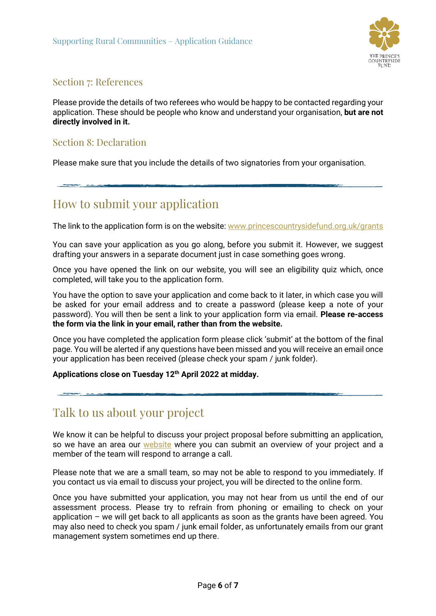

## Section 7: References

Please provide the details of two referees who would be happy to be contacted regarding your application. These should be people who know and understand your organisation, **but are not directly involved in it.**

## Section 8: Declaration

Please make sure that you include the details of two signatories from your organisation.

# How to submit your application

The link to the application form is on the website: [www.princescountrysidefund.org.uk/grants](http://www.princescountrysidefund.org.uk/grants)

You can save your application as you go along, before you submit it. However, we suggest drafting your answers in a separate document just in case something goes wrong.

Once you have opened the link on our website, you will see an eligibility quiz which, once completed, will take you to the application form.

You have the option to save your application and come back to it later, in which case you will be asked for your email address and to create a password (please keep a note of your password). You will then be sent a link to your application form via email. **Please re-access the form via the link in your email, rather than from the website.**

Once you have completed the application form please click 'submit' at the bottom of the final page. You will be alerted if any questions have been missed and you will receive an email once your application has been received (please check your spam / junk folder).

## **Applications close on Tuesday 12th April 2022 at midday.**

# Talk to us about your project

We know it can be helpful to discuss your project proposal before submitting an application, so we have an area our [website](https://www.princescountrysidefund.org.uk/how-we-help/rural-communities/supporting-rural-communities/) where you can submit an overview of your project and a member of the team will respond to arrange a call.

Please note that we are a small team, so may not be able to respond to you immediately. If you contact us via email to discuss your project, you will be directed to the online form.

Once you have submitted your application, you may not hear from us until the end of our assessment process. Please try to refrain from phoning or emailing to check on your application – we will get back to all applicants as soon as the grants have been agreed. You may also need to check you spam / junk email folder, as unfortunately emails from our grant management system sometimes end up there.